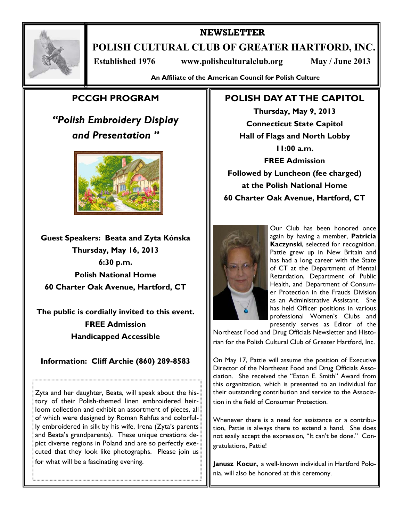

## **NEWSLETTER**

**POLISH CULTURAL CLUB OF GREATER HARTFORD, INC.** 

 **Established 1976 www.polishculturalclub.org May / June 2013** 

**An Affiliate of the American Council for Polish Culture** 

# **PCCGH PROGRAM**

*"Polish Embroidery Display and Presentation "* 



**Guest Speakers: Beata and Zyta Kónska Thursday, May 16, 2013 6:30 p.m. Polish National Home 60 Charter Oak Avenue, Hartford, CT** 

**The public is cordially invited to this event. FREE Admission Handicapped Accessible** 

**Information: Cliff Archie (860) 289-8583** 

Zyta and her daughter, Beata, will speak about the history of their Polish-themed linen embroidered heirloom collection and exhibit an assortment of pieces, all of which were designed by Roman Rehfus and colorfully embroidered in silk by his wife, Irena (Zyta's parents and Beata's grandparents). These unique creations depict diverse regions in Poland and are so perfectly executed that they look like photographs. Please join us for what will be a fascinating evening.

# **POLISH DAY AT THE CAPITOL**

**Thursday, May 9, 2013 Connecticut State Capitol Hall of Flags and North Lobby 11:00 a.m. FREE Admission Followed by Luncheon (fee charged) at the Polish National Home 60 Charter Oak Avenue, Hartford, CT** 



Our Club has been honored once again by having a member, **Patricia Kaczynski**, selected for recognition. Pattie grew up in New Britain and has had a long career with the State of CT at the Department of Mental Retardation, Department of Public Health, and Department of Consumer Protection in the Frauds Division as an Administrative Assistant. She has held Officer positions in various professional Women's Clubs and presently serves as Editor of the

Northeast Food and Drug Officials Newsletter and Historian for the Polish Cultural Club of Greater Hartford, Inc.

On May 17, Pattie will assume the position of Executive Director of the Northeast Food and Drug Officials Association. She received the "Eaton E. Smith" Award from this organization, which is presented to an individual for their outstanding contribution and service to the Association in the field of Consumer Protection.

Whenever there is a need for assistance or a contribution, Pattie is always there to extend a hand. She does not easily accept the expression, "It can't be done." Congratulations, Pattie!

**Janusz Kocur,** a well-known individual in Hartford Polonia, will also be honored at this ceremony.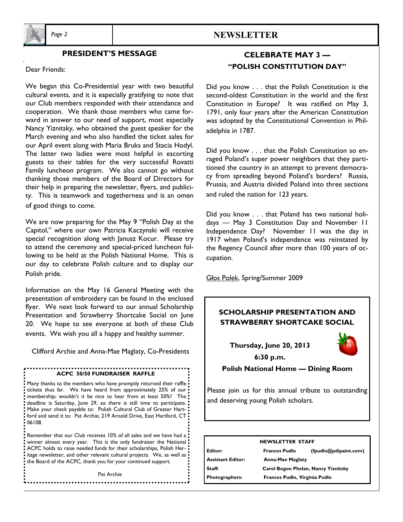

## **PRESIDENT'S MESSAGE**

Dear Friends:

We began this Co-Presidential year with two beautiful cultural events, and it is especially gratifying to note that our Club members responded with their attendance and cooperation. We thank those members who came forward in answer to our need of support, most especially Nancy Yiznitsky, who obtained the guest speaker for the March evening and who also handled the ticket sales for our April event along with Maria Bruks and Stacia Hodyl. The latter two ladies were most helpful in escorting guests to their tables for the very successful Rovatti Family luncheon program. We also cannot go without thanking those members of the Board of Directors for their help in preparing the newsletter, flyers, and publicity. This is teamwork and togetherness and is an omen of good things to come.

We are now preparing for the May 9 "Polish Day at the Capitol," where our own Patricia Kaczynski will receive special recognition along with Janusz Kocur. Please try to attend the ceremony and special-priced luncheon following to be held at the Polish National Home. This is our day to celebrate Polish culture and to display our Polish pride.

Information on the May 16 General Meeting with the presentation of embroidery can be found in the enclosed flyer. We next look forward to our annual Scholarship Presentation and Strawberry Shortcake Social on June 20. We hope to see everyone at both of these Club events. We wish you all a happy and healthy summer.

Clifford Archie and Anna-Mae Maglaty, Co-Presidents

#### **ACPC 50/50 FUNDRAISER RAFFLE**

• Many thanks to the members who have promptly returned their raffle tickets thus far. We have heard from approximately 25% of our membership; wouldn't it be nice to hear from at least 50%? The : deadline is Saturday, June 29, so there is still time to participate. Make your check payable to: Polish Cultural Club of Greater Hartford and send it to: Pat Archie, 219 Arnold Drive, East Hartford, CT:  $.06108.$ 

Remember that our Club receives 10% of all sales and we have had a winner almost every year. This is the only fundraiser the National ACPC holds to raise needed funds for their scholarships, Polish Heritage newsletter, and other relevant cultural projects. We, as well as  $\frac{1}{2}$ the Board of the ACPC, thank you for your continued support.

Pat Archie

## *Page 2* **NEWSLETTER**

# **CELEBRATE MAY 3 — "POLISH CONSTITUTION DAY"**

Did you know . . . that the Polish Constitution is the second-oldest Constitution in the world and the first Constitution in Europe? It was ratified on May 3, 1791, only four years after the American Constitution was adopted by the Constitutional Convention in Philadelphia in 1787.

Did you know . . . that the Polish Constitution so enraged Poland's super power neighbors that they partitioned the country in an attempt to prevent democracy from spreading beyond Poland's borders? Russia, Prussia, and Austria divided Poland into three sections and ruled the nation for 123 years.

Did you know . . . that Poland has two national holidays — May 3 Constitution Day and November 11 Independence Day? November 11 was the day in 1917 when Poland's independence was reinstated by the Regency Council after more than 100 years of occupation.

Głos Polek, Spring/Summer 2009

## **SCHOLARSHIP PRESENTATION AND STRAWBERRY SHORTCAKE SOCIAL**

**Thursday, June 20, 2013 6:30 p.m.** 



**Polish National Home — Dining Room** 

Please join us for this annual tribute to outstanding and deserving young Polish scholars.

| <b>NEWSLETTER STAFF</b> |                                     |                                                |  |
|-------------------------|-------------------------------------|------------------------------------------------|--|
| Editor:                 | <b>Frances Pudlo</b>                | $(f_{\text{p}}(a)$ (fpudlo $(a)$ pdipaint.com) |  |
| Assistant Editor:       | <b>Anna-Mae Maglaty</b>             |                                                |  |
| Staff:                  | Carol Bogon Phelan, Nancy Yiznitsky |                                                |  |
| Photographers:          | Frances Pudlo, Virginia Pudlo       |                                                |  |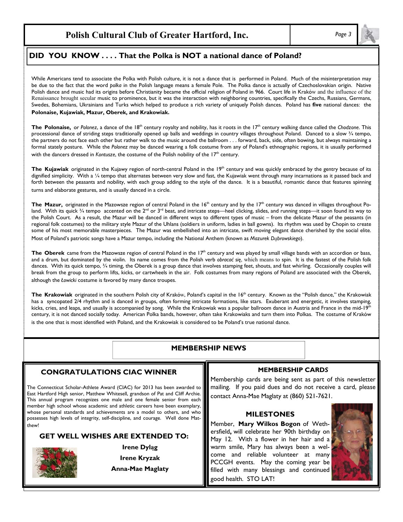#### **DID YOU KNOW . . . . DID YOU KNOW . . . . That the Polka is NOT a national dance of Poland?**

While Americans tend to associate the Polka with Polish culture, it is not a dance that is performed in Poland. Much of the misinterpretation may be due to the fact that the word *polka* in the Polish language means a female Pole. The Polka dance is actually of Czechoslovakian origin. Native Polish dance and music had its origins before Christianity became the official religion of Poland in 966. Court life in Kraków and the influence of the Renaissance brought secular music to prominence, but it was the interaction with neighboring countries, specifically the Czechs, Russians, Germans, Swedes, Bohemians, Ukrainians and Turks which helped to produce a rich variety of uniquely Polish dances. Poland has **five** national dances: the **Polonaise, Kujawiak, Mazur, Oberek, and Krakowiak.** 

The Polonaise, or Polonez, a dance of the 18<sup>th</sup> century royalty and nobility, has it roots in the 17<sup>th</sup> century walking dance called the *Chodzone*. This processional dance of striding steps traditionally opened up balls and weddings in country villages throughout Poland. Danced to a slow  $\frac{3}{4}$  tempo, the partners do not face each other but rather walk to the music around the ballroom . . . forward, back, side, often bowing, but always maintaining a formal stately posture. While the *Polonez* may be danced wearing a folk costume from any of Poland's ethnographic regions, it is usually performed with the dancers dressed in *Kontusze*, the costume of the Polish nobility of the 17<sup>th</sup> century.

The Kujawiak originated in the Kujawy region of north-central Poland in the 19<sup>th</sup> century and was quickly embraced by the gentry because of its dignified simplicity. With a 1/4 tempo that alternates between very slow and fast, the Kujawiak went through many incarnations as it passed back and forth between the peasants and nobility, with each group adding to the style of the dance. It is a beautiful, romantic dance that features spinning turns and elaborate gestures, and is usually danced in a circle.

The Mazur, originated in the Mazowsze region of central Poland in the 16<sup>th</sup> century and by the 17<sup>th</sup> century was danced in villages throughout Poland. With its quick 3/4 tempo accented on the 2<sup>nd</sup> or 3<sup>rd</sup> beat, and intricate steps—heel clicking, slides, and running steps—it soon found its way to the Polish Court. As a result, the Mazur will be danced in different ways to different types of music – from the delicate Mazur of the peasants (in regional folk costumes) to the military style Mazur of the Uhlans (soldiers in uniform, ladies in ball gowns). Its rhythm was used by Chopin to create some of his most memorable masterpieces. The Mazur was embellished into an intricate, swift moving elegant dance cherished by the social elite. Most of Poland's patriotic songs have a Mazur tempo, including the National Anthem (known as *Mazurek Dąbrowskiego*).

The Oberek came from the Mazowsze region of central Poland in the 17<sup>th</sup> century and was played by small village bands with an accordion or bass, and a drum, but dominated by the violin. Its name comes from the Polish verb *obracać się*, which means to spin. It is the fastest of the Polish folk dances. With its quick tempo, 3/4 timing, the Oberek is a group dance that involves stamping feet, shouts, and fast whirling. Occasionally couples will break from the group to perform lifts, kicks, or cartwheels in the air. Folk costumes from many regions of Poland are associated with the Oberek, although the *Łowicki* costume is favored by many dance troupes.

The Krakowiak originated in the southern Polish city of Kraków, Poland's capital in the 16<sup>th</sup> century. Known as the "Polish dance," the Krakowiak has a syncopated 2/4 rhythm and is danced in groups, often forming intricate formations, like stars. Exuberant and energetic, it involves stamping, kicks, cries, and leaps, and usually is accompanied by song. While the Krakowiak was a popular ballroom dance in Austria and France in the mid-19<sup>th</sup> century, it is not danced socially today. American Polka bands, however, often take Krakowiaks and turn them into Polkas. The costume of Kraków is the one that is most identified with Poland, and the Krakowiak is considered to be Poland's true national dance.

### **MEMBERSHIP NEWS**

### **CONGRATULATIONS CIAC WINNER**

The Connecticut Scholar-Athlete Award (CIAC) for 2013 has been awarded to East Hartford High senior, Matthew Whitesell, grandson of Pat and Cliff Archie. This annual program recognizes one male and one female senior from each member high school whose academic and athletic careers have been exemplary, whose personal standards and achievements are a model to others, and who possesses high levels of integrity, self-discipline, and courage. Well done Matthew!

## **GET WELL WISHES ARE EXTENDED TO:**



**Irene Dyląg Irene Kryzak Anna-Mae Maglaty** 

### **MEMBERSHIP CARD***S*

Membership cards are being sent as part of this newsletter mailing. If you paid dues and do not receive a card, please contact Anna-Mae Maglaty at (860) 521-7621.

### **MILESTONES**

Member, **Mary Wilkos Bogon** of Wethersfield**,** will celebrate her 90th birthday on May 12. With a flower in her hair and a warm smile, Mary has always been a welcome and reliable volunteer at many PCCGH events. May the coming year be filled with many blessings and continued good health. STO LAT!